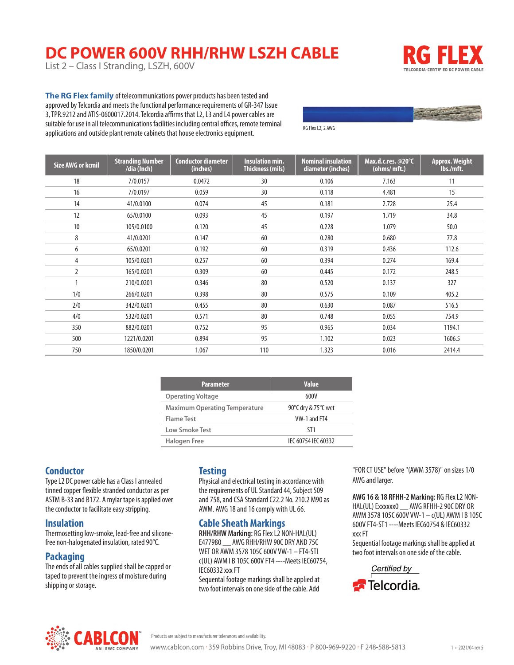# **DC POWER 600V RHH/RHW LSZH CABLE**

List 2 – Class I Stranding, LSZH, 600V



**The RG Flex family** of telecommunications power products has been tested and approved by Telcordia and meets the functional performance requirements of GR-347 Issue 3, TPR.9212 and ATIS-0600017.2014. Telcordia affirms that L2, L3 and L4 power cables are suitable for use in all telecommunications facilities including central offices, remote terminal applications and outside plant remote cabinets that house electronics equipment.

RG Flex L2, 2 AWG

| <b>Size AWG or kcmil</b> | <b>Stranding Number</b><br>/dia (Inch) | <b>Conductor diameter</b><br>(inches) | <b>Insulation min.</b><br><b>Thickness (mils)</b> | <b>Nominal insulation</b><br>diameter (inches) | Max.d.c.res. @20°C<br>(ohms/mft.) | <b>Approx. Weight</b><br>lbs./mft. |
|--------------------------|----------------------------------------|---------------------------------------|---------------------------------------------------|------------------------------------------------|-----------------------------------|------------------------------------|
| 18                       | 7/0.0157                               | 0.0472                                | 30                                                | 0.106                                          | 7.163                             | 11                                 |
| 16                       | 7/0.0197                               | 0.059                                 | 30                                                | 0.118                                          | 4.481                             | 15                                 |
| 14                       | 41/0.0100                              | 0.074                                 | 45                                                | 0.181                                          | 2.728                             | 25.4                               |
| 12                       | 65/0.0100                              | 0.093                                 | 45                                                | 0.197                                          | 1.719                             | 34.8                               |
| 10                       | 105/0.0100                             | 0.120                                 | 45                                                | 0.228                                          | 1.079                             | 50.0                               |
| 8                        | 41/0.0201                              | 0.147                                 | 60                                                | 0.280                                          | 0.680                             | 77.8                               |
| 6                        | 65/0.0201                              | 0.192                                 | 60                                                | 0.319                                          | 0.436                             | 112.6                              |
| 4                        | 105/0.0201                             | 0.257                                 | 60                                                | 0.394                                          | 0.274                             | 169.4                              |
| 2                        | 165/0.0201                             | 0.309                                 | 60                                                | 0.445                                          | 0.172                             | 248.5                              |
|                          | 210/0.0201                             | 0.346                                 | 80                                                | 0.520                                          | 0.137                             | 327                                |
| 1/0                      | 266/0.0201                             | 0.398                                 | 80                                                | 0.575                                          | 0.109                             | 405.2                              |
| 2/0                      | 342/0.0201                             | 0.455                                 | 80                                                | 0.630                                          | 0.087                             | 516.5                              |
| 4/0                      | 532/0.0201                             | 0.571                                 | 80                                                | 0.748                                          | 0.055                             | 754.9                              |
| 350                      | 882/0.0201                             | 0.752                                 | 95                                                | 0.965                                          | 0.034                             | 1194.1                             |
| 500                      | 1221/0.0201                            | 0.894                                 | 95                                                | 1.102                                          | 0.023                             | 1606.5                             |
| 750                      | 1850/0.0201                            | 1.067                                 | 110                                               | 1.323                                          | 0.016                             | 2414.4                             |

| <b>Parameter</b>                     | <b>Value</b>        |
|--------------------------------------|---------------------|
| <b>Operating Voltage</b>             | 600V                |
| <b>Maximum Operating Temperature</b> | 90°C dry & 75°C wet |
| Flame Test                           | VW-1 and FT4        |
| Low Smoke Test                       | ST1                 |
| Halogen Free                         | IFC 60754 IFC 60332 |

## **Conductor**

Type L2 DC power cable has a Class I annealed tinned copper flexible stranded conductor as per ASTM B-33 and B172. A mylar tape is applied over the conductor to facilitate easy stripping.

#### **Insulation**

Thermosetting low-smoke, lead-free and siliconefree non-halogenated insulation, rated 90°C.

#### **Packaging**

The ends of all cables supplied shall be capped or taped to prevent the ingress of moisture during shipping or storage.

### **Testing**

Physical and electrical testing in accordance with the requirements of UL Standard 44, Subject 509 and 758, and CSA Standard C22.2 No. 210.2 M90 as AWM. AWG 18 and 16 comply with UL 66.

#### **Cable Sheath Markings**

**RHH/RHW Marking:** RG Flex L2 NON-HAL(UL) E477980 AWG RHH/RHW 90C DRY AND 75C WET OR AWM 3578 105C 600V VW-1 – FT4-STI c(UL) AWM I B 105C 600V FT4 ----Meets IEC60754, IEC60332 xxx FT

Sequental footage markings shall be applied at two foot intervals on one side of the cable. Add

"FOR CT USE" before "(AWM 3578)" on sizes 1/0 AWG and larger.

**AWG 16 & 18 RFHH-2 Marking:** RG Flex L2 NON-HAL(UL) Exxxxxx0 \_\_ AWG RFHH-2 90C DRY OR AWM 3578 105C 600V VW-1 – c(UL) AWM I B 105C 600V FT4-ST1 ----Meets IEC60754 & IEC60332 xxx FT

Sequential footage markings shall be applied at two foot intervals on one side of the cable.





Products are subject to manufacturer tolerances and availability.